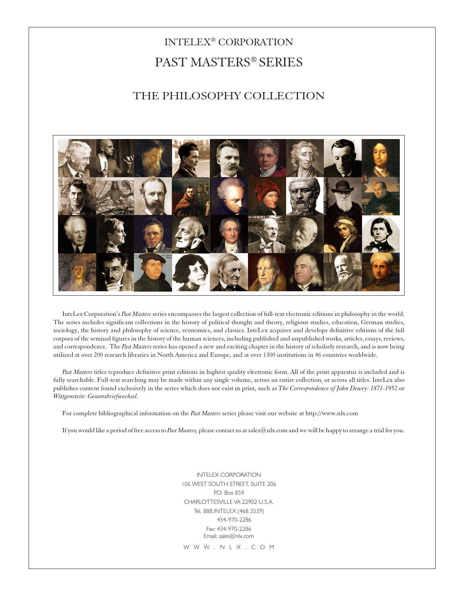# INTELEX® CORPORATION PAST MASTERS® SERIES

## THE PHILOSOPHY COLLECTION



InteLex Corporation's *Past Masters* series encompasses the largest collection of full-text electronic editions in philosophy in the world. The series includes significant collections in the history of political thought and theory, religious studies, education, German studies, sociology, the history and philosophy of science, economics, and classics. InteLex acquires and develops definitive editions of the full corpora of the seminal figures in the history of the human sciences, including published and unpublished works, articles, essays, reviews, and correspondence. The *Past Masters* series has opened a new and exciting chapter in the history of scholarly research, and is now being utilized at over 200 research libraries in North America and Europe, and at over 1300 institutions in 46 countries worldwide.

*Past Masters* titles reproduce definitive print editions in highest quality electronic form. All of the print apparatus is included and is fully searchable. Full-text searching may be made within any single volume, across an entire collection, or across all titles. InteLex also publishes content found exclusively in the series which does not exist in print, such as *The Correspondence of John Dewey: 1871-1952* or *Wittgenstein: Gesamtbriefwechsel.*

For complete bibliographical information on the *Past Masters* series please visit our website at http://www.nlx.com

If you would like a period of free access to *Past Masters,* please contact us at sales@nlx.com and we will be happy to arrange a trial for you.

INTELEX CORPORATION 106 WEST SOUTH STREET, SUITE 206 P.O. Box 859 CHARLOTTESVILLE VA 22902 U.S.A. Tel. 888.INTELEX (468.3539) 434-970-2286 Fax: 434-970-2286 Email: sales@nlx.com

W W W . N L X . C O M